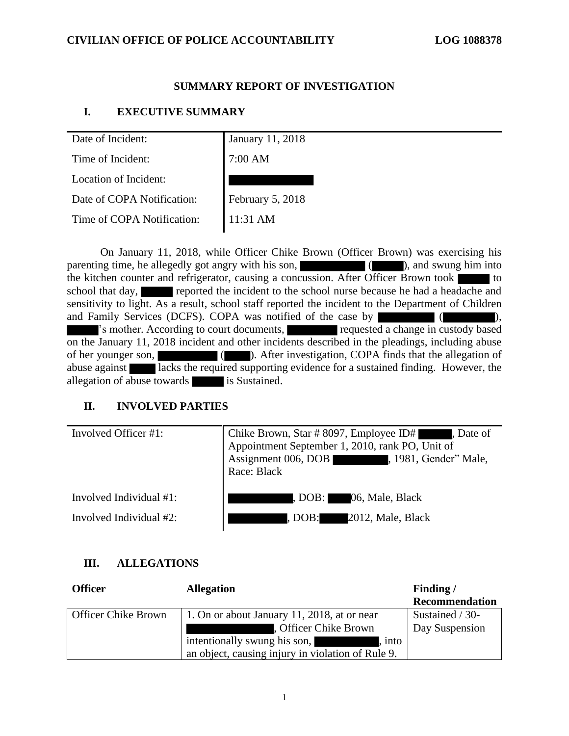#### **CIVILIAN OFFICE OF POLICE ACCOUNTABILITY LOG 1088378**

### **SUMMARY REPORT OF INVESTIGATION**

### **I. EXECUTIVE SUMMARY**

| Date of Incident:          | January 11, 2018 |
|----------------------------|------------------|
| Time of Incident:          | 7:00 AM          |
| Location of Incident:      |                  |
| Date of COPA Notification: | February 5, 2018 |
| Time of COPA Notification: | 11:31 AM         |
|                            |                  |

On January 11, 2018, while Officer Chike Brown (Officer Brown) was exercising his parenting time, he allegedly got angry with his son,  $\qquad \qquad$  ( ), and swung him into the kitchen counter and refrigerator, causing a concussion. After Officer Brown took  $\blacksquare$  to school that day, reported the incident to the school nurse because he had a headache and sensitivity to light. As a result, school staff reported the incident to the Department of Children and Family Services (DCFS). COPA was notified of the case by ( ), 's mother. According to court documents, requested a change in custody based on the January 11, 2018 incident and other incidents described in the pleadings, including abuse of her younger son, ( ). After investigation, COPA finds that the allegation of abuse against lacks the required supporting evidence for a sustained finding. However, the allegation of abuse towards is Sustained.

# **II. INVOLVED PARTIES**

| Involved Officer #1:    | Chike Brown, Star # 8097, Employee ID# , Date of Appointment September 1, 2010, rank PO, Unit of<br>Assignment 006, DOB (1981, Gender" Male,<br>Race: Black |
|-------------------------|-------------------------------------------------------------------------------------------------------------------------------------------------------------|
| Involved Individual #1: | , DOB: 06, Male, Black                                                                                                                                      |
| Involved Individual #2: | , DOB: 2012, Male, Black                                                                                                                                    |

# **III. ALLEGATIONS**

| <b>Officer</b>             | <b>Allegation</b>                                 | Finding/              |
|----------------------------|---------------------------------------------------|-----------------------|
|                            |                                                   | <b>Recommendation</b> |
| <b>Officer Chike Brown</b> | 1. On or about January 11, 2018, at or near       | Sustained / 30-       |
|                            | . Officer Chike Brown                             | Day Suspension        |
|                            | intentionally swung his son,<br>into              |                       |
|                            | an object, causing injury in violation of Rule 9. |                       |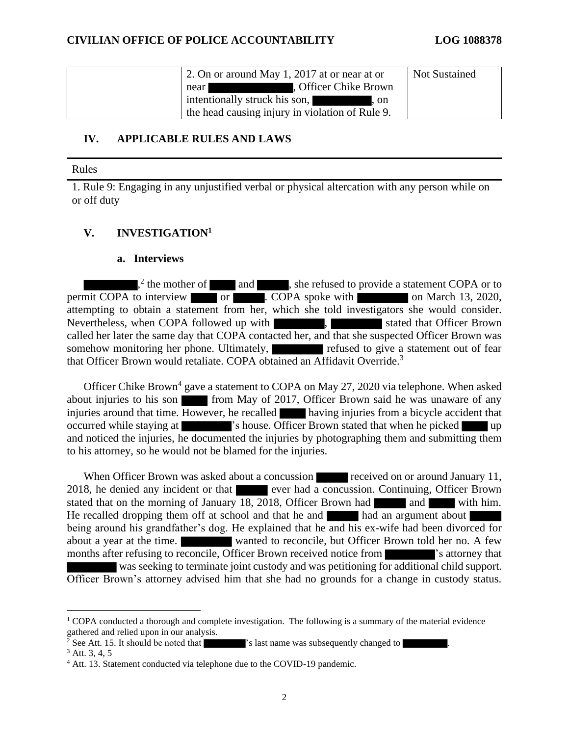| 2. On or around May 1, 2017 at or near at or                                                                                                                                                                                                                                  | Not Sustained |
|-------------------------------------------------------------------------------------------------------------------------------------------------------------------------------------------------------------------------------------------------------------------------------|---------------|
| Officer Chike Brown<br>near                                                                                                                                                                                                                                                   |               |
| intentionally struck his son,<br><u>a sa mga sangayon ng mga sangayon ng mga sangayon ng mga sangayon ng mga sangayon ng mga sangayon ng mga sangayon ng mga sangayon ng mga sangayon ng mga sangayon ng mga sangayon ng mga sangayon ng mga sangayon ng mga sang</u><br>. on |               |
| the head causing injury in violation of Rule 9.                                                                                                                                                                                                                               |               |

### **IV. APPLICABLE RULES AND LAWS**

Rules

1. Rule 9: Engaging in any unjustified verbal or physical altercation with any person while on or off duty

# **V. INVESTIGATION<sup>1</sup>**

#### **a. Interviews**

 $n<sup>2</sup>$  the mother of and and statement COPA or to permit COPA to interview or . COPA spoke with on March 13, 2020, attempting to obtain a statement from her, which she told investigators she would consider. Nevertheless, when COPA followed up with  $\blacksquare$ , stated that Officer Brown called her later the same day that COPA contacted her, and that she suspected Officer Brown was somehow monitoring her phone. Ultimately, refused to give a statement out of fear that Officer Brown would retaliate. COPA obtained an Affidavit Override.<sup>3</sup>

Officer Chike Brown<sup>4</sup> gave a statement to COPA on May 27, 2020 via telephone. When asked about injuries to his son from May of 2017, Officer Brown said he was unaware of any injuries around that time. However, he recalled having injuries from a bicycle accident that occurred while staying at  $\blacksquare$  's house. Officer Brown stated that when he picked up and noticed the injuries, he documented the injuries by photographing them and submitting them to his attorney, so he would not be blamed for the injuries.

When Officer Brown was asked about a concussion received on or around January 11, 2018, he denied any incident or that ever had a concussion. Continuing, Officer Brown stated that on the morning of January 18, 2018, Officer Brown had and with him. He recalled dropping them off at school and that he and  $\blacksquare$  had an argument about being around his grandfather's dog. He explained that he and his ex-wife had been divorced for about a year at the time. wanted to reconcile, but Officer Brown told her no. A few months after refusing to reconcile, Officer Brown received notice from  $\blacksquare$  's attorney that was seeking to terminate joint custody and was petitioning for additional child support. Officer Brown's attorney advised him that she had no grounds for a change in custody status.

 $1$  COPA conducted a thorough and complete investigation. The following is a summary of the material evidence gathered and relied upon in our analysis.

 $\frac{2}{3}$  See Att. 15. It should be noted that  $\blacksquare$  's last name was subsequently changed to

 $3$  Att. 3, 4, 5

<sup>4</sup> Att. 13. Statement conducted via telephone due to the COVID-19 pandemic.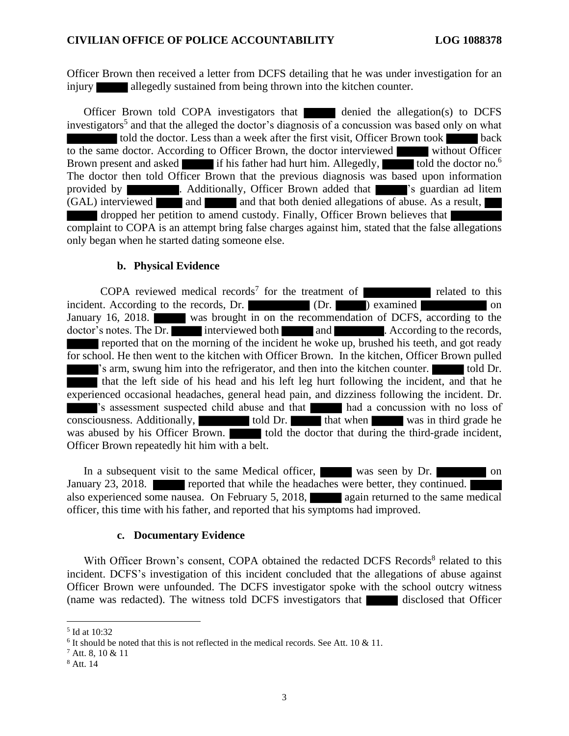Officer Brown then received a letter from DCFS detailing that he was under investigation for an injury allegedly sustained from being thrown into the kitchen counter.

Officer Brown told COPA investigators that denied the allegation(s) to DCFS investigators<sup>5</sup> and that the alleged the doctor's diagnosis of a concussion was based only on what told the doctor. Less than a week after the first visit, Officer Brown took back to the same doctor. According to Officer Brown, the doctor interviewed without Officer Brown present and asked if his father had hurt him. Allegedly, told the doctor no.<sup>6</sup> The doctor then told Officer Brown that the previous diagnosis was based upon information provided by . Additionally, Officer Brown added that 's guardian ad litem  $(GAL)$  interviewed and and  $GAL$  and that both denied allegations of abuse. As a result, dropped her petition to amend custody. Finally, Officer Brown believes that complaint to COPA is an attempt bring false charges against him, stated that the false allegations only began when he started dating someone else.

#### **b. Physical Evidence**

COPA reviewed medical records<sup>7</sup> for the treatment of **related to the related to this** incident. According to the records, Dr. (Dr. ) examined on January 16, 2018. was brought in on the recommendation of DCFS, according to the doctor's notes. The Dr. interviewed both and . According to the records, reported that on the morning of the incident he woke up, brushed his teeth, and got ready for school. He then went to the kitchen with Officer Brown. In the kitchen, Officer Brown pulled 's arm, swung him into the refrigerator, and then into the kitchen counter. told Dr. that the left side of his head and his left leg hurt following the incident, and that he experienced occasional headaches, general head pain, and dizziness following the incident. Dr. 's assessment suspected child abuse and that had a concussion with no loss of consciousness. Additionally, told Dr. that when was in third grade he was abused by his Officer Brown. told the doctor that during the third-grade incident, Officer Brown repeatedly hit him with a belt.

In a subsequent visit to the same Medical officer, was seen by Dr. on January 23, 2018. reported that while the headaches were better, they continued. also experienced some nausea. On February 5, 2018,  $\Box$  again returned to the same medical officer, this time with his father, and reported that his symptoms had improved.

#### **c. Documentary Evidence**

With Officer Brown's consent, COPA obtained the redacted DCFS Records<sup>8</sup> related to this incident. DCFS's investigation of this incident concluded that the allegations of abuse against Officer Brown were unfounded. The DCFS investigator spoke with the school outcry witness (name was redacted). The witness told DCFS investigators that disclosed that Officer

<sup>5</sup> Id at 10:32

<sup>&</sup>lt;sup>6</sup> It should be noted that this is not reflected in the medical records. See Att. 10 & 11.

<sup>7</sup> Att. 8, 10 & 11

<sup>8</sup> Att. 14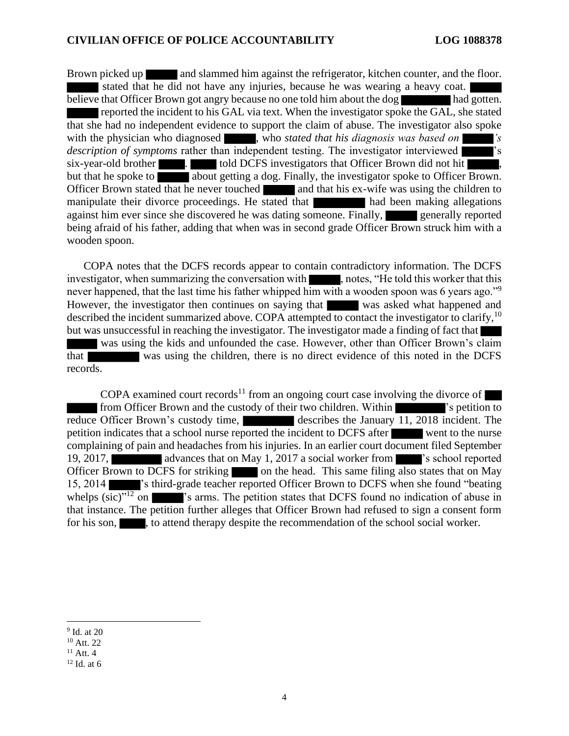Brown picked up and slammed him against the refrigerator, kitchen counter, and the floor. stated that he did not have any injuries, because he was wearing a heavy coat. believe that Officer Brown got angry because no one told him about the dog had gotten. reported the incident to his GAL via text. When the investigator spoke the GAL, she stated that she had no independent evidence to support the claim of abuse. The investigator also spoke with the physician who diagnosed , who *stated that his diagnosis was based on* 's *description of symptoms* rather than independent testing. The investigator interviewed  $\cdot$ s six-year-old brother **. The six-year-old brother is a set of the six-year-old brother**  $\blacksquare$ . but that he spoke to about getting a dog. Finally, the investigator spoke to Officer Brown. Officer Brown stated that he never touched and that his ex-wife was using the children to manipulate their divorce proceedings. He stated that had been making allegations against him ever since she discovered he was dating someone. Finally, generally reported being afraid of his father, adding that when was in second grade Officer Brown struck him with a wooden spoon.

COPA notes that the DCFS records appear to contain contradictory information. The DCFS investigator, when summarizing the conversation with , notes, "He told this worker that this never happened, that the last time his father whipped him with a wooden spoon was 6 years ago."<sup>9</sup> However, the investigator then continues on saying that was asked what happened and described the incident summarized above. COPA attempted to contact the investigator to clarify, <sup>10</sup> but was unsuccessful in reaching the investigator. The investigator made a finding of fact that was using the kids and unfounded the case. However, other than Officer Brown's claim that was using the children, there is no direct evidence of this noted in the DCFS

records.

COPA examined court records<sup>11</sup> from an ongoing court case involving the divorce of from Officer Brown and the custody of their two children. Within  $\blacksquare$  's petition to reduce Officer Brown's custody time, describes the January 11, 2018 incident. The petition indicates that a school nurse reported the incident to DCFS after went to the nurse complaining of pain and headaches from his injuries. In an earlier court document filed September 19, 2017, and advances that on May 1, 2017 a social worker from  $\blacksquare$  's school reported Officer Brown to DCFS for striking on the head. This same filing also states that on May 15, 2014 's third-grade teacher reported Officer Brown to DCFS when she found "beating whelps  $(sic)^{y_1}$  on  $\blacksquare$  's arms. The petition states that DCFS found no indication of abuse in that instance. The petition further alleges that Officer Brown had refused to sign a consent form for his son, sto attend therapy despite the recommendation of the school social worker.

<sup>9</sup> Id. at 20

<sup>10</sup> Att. 22

 $11$  Att. 4

 $12$  Id. at 6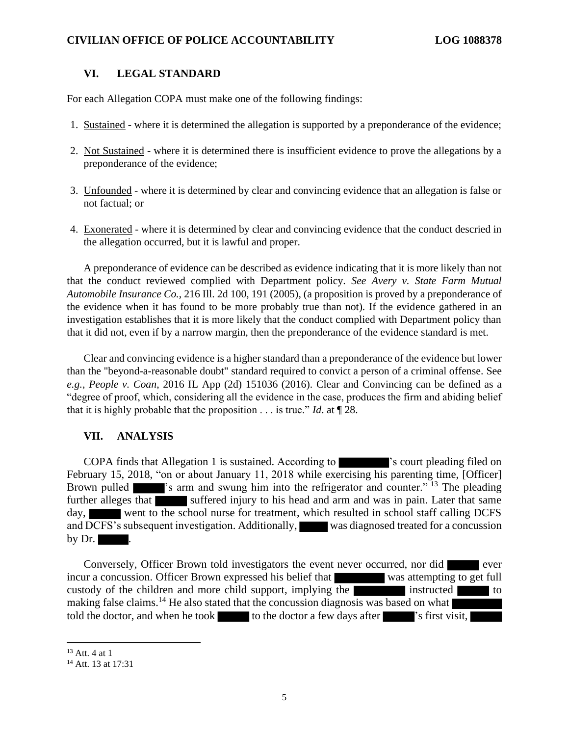#### **CIVILIAN OFFICE OF POLICE ACCOUNTABILITY LOG 1088378**

#### **VI. LEGAL STANDARD**

For each Allegation COPA must make one of the following findings:

- 1. Sustained where it is determined the allegation is supported by a preponderance of the evidence;
- 2. Not Sustained where it is determined there is insufficient evidence to prove the allegations by a preponderance of the evidence;
- 3. Unfounded where it is determined by clear and convincing evidence that an allegation is false or not factual; or
- 4. Exonerated where it is determined by clear and convincing evidence that the conduct descried in the allegation occurred, but it is lawful and proper.

A preponderance of evidence can be described as evidence indicating that it is more likely than not that the conduct reviewed complied with Department policy. *See Avery v. State Farm Mutual Automobile Insurance Co.*, 216 Ill. 2d 100, 191 (2005), (a proposition is proved by a preponderance of the evidence when it has found to be more probably true than not). If the evidence gathered in an investigation establishes that it is more likely that the conduct complied with Department policy than that it did not, even if by a narrow margin, then the preponderance of the evidence standard is met.

Clear and convincing evidence is a higher standard than a preponderance of the evidence but lower than the "beyond-a-reasonable doubt" standard required to convict a person of a criminal offense. See *e.g.*, *People v. Coan*, 2016 IL App (2d) 151036 (2016). Clear and Convincing can be defined as a "degree of proof, which, considering all the evidence in the case, produces the firm and abiding belief that it is highly probable that the proposition . . . is true." *Id*. at ¶ 28.

# **VII. ANALYSIS**

COPA finds that Allegation 1 is sustained. According to 's court pleading filed on February 15, 2018, "on or about January 11, 2018 while exercising his parenting time, [Officer] Brown pulled <sup>'</sup>s arm and swung him into the refrigerator and counter.<sup>" 13</sup> The pleading further alleges that suffered injury to his head and arm and was in pain. Later that same day, went to the school nurse for treatment, which resulted in school staff calling DCFS and DCFS's subsequent investigation. Additionally, was diagnosed treated for a concussion by  $Dr.$ 

Conversely, Officer Brown told investigators the event never occurred, nor did ever incur a concussion. Officer Brown expressed his belief that was attempting to get full custody of the children and more child support, implying the instructed to to making false claims.<sup>14</sup> He also stated that the concussion diagnosis was based on what told the doctor, and when he took to the doctor a few days after  $\blacksquare$  's first visit,

 $13$  Att. 4 at 1

<sup>&</sup>lt;sup>14</sup> Att. 13 at 17:31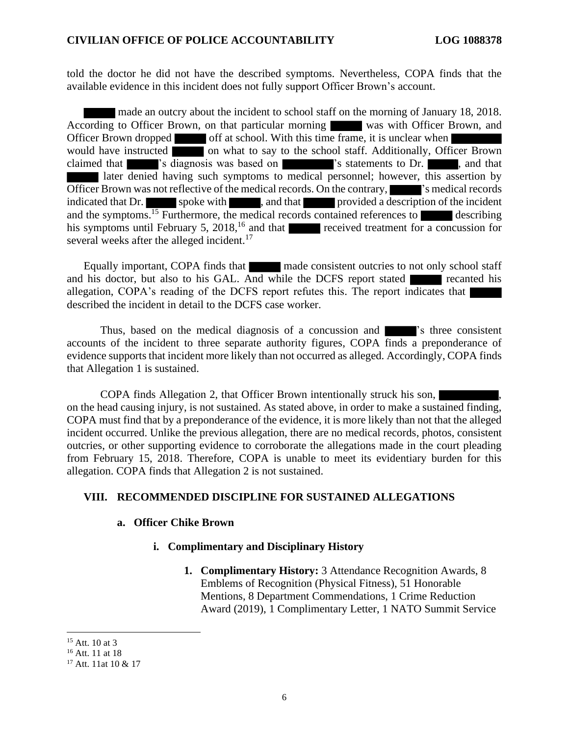told the doctor he did not have the described symptoms. Nevertheless, COPA finds that the available evidence in this incident does not fully support Officer Brown's account.

made an outcry about the incident to school staff on the morning of January 18, 2018. According to Officer Brown, on that particular morning was with Officer Brown, and Officer Brown dropped off at school. With this time frame, it is unclear when would have instructed on what to say to the school staff. Additionally, Officer Brown claimed that  $\blacksquare$  's diagnosis was based on  $\blacksquare$  's statements to Dr. , and that later denied having such symptoms to medical personnel; however, this assertion by Officer Brown was not reflective of the medical records. On the contrary, see The is medical records indicated that Dr. spoke with , and that provided a description of the incident and the symptoms.<sup>15</sup> Furthermore, the medical records contained references to describing his symptoms until February 5, 2018,<sup>16</sup> and that received treatment for a concussion for several weeks after the alleged incident.<sup>17</sup>

Equally important, COPA finds that made consistent outcries to not only school staff and his doctor, but also to his GAL. And while the DCFS report stated recanted his allegation, COPA's reading of the DCFS report refutes this. The report indicates that described the incident in detail to the DCFS case worker.

Thus, based on the medical diagnosis of a concussion and **Fig. 2**'s three consistent accounts of the incident to three separate authority figures, COPA finds a preponderance of evidence supports that incident more likely than not occurred as alleged. Accordingly, COPA finds that Allegation 1 is sustained.

COPA finds Allegation 2, that Officer Brown intentionally struck his son, on the head causing injury, is not sustained. As stated above, in order to make a sustained finding, COPA must find that by a preponderance of the evidence, it is more likely than not that the alleged incident occurred. Unlike the previous allegation, there are no medical records, photos, consistent outcries, or other supporting evidence to corroborate the allegations made in the court pleading from February 15, 2018. Therefore, COPA is unable to meet its evidentiary burden for this allegation. COPA finds that Allegation 2 is not sustained.

### **VIII. RECOMMENDED DISCIPLINE FOR SUSTAINED ALLEGATIONS**

#### **a. Officer Chike Brown**

#### **i. Complimentary and Disciplinary History**

**1. Complimentary History:** 3 Attendance Recognition Awards, 8 Emblems of Recognition (Physical Fitness), 51 Honorable Mentions, 8 Department Commendations, 1 Crime Reduction Award (2019), 1 Complimentary Letter, 1 NATO Summit Service

<sup>&</sup>lt;sup>15</sup> Att. 10 at 3

<sup>16</sup> Att. 11 at 18

<sup>&</sup>lt;sup>17</sup> Att. 11at 10 & 17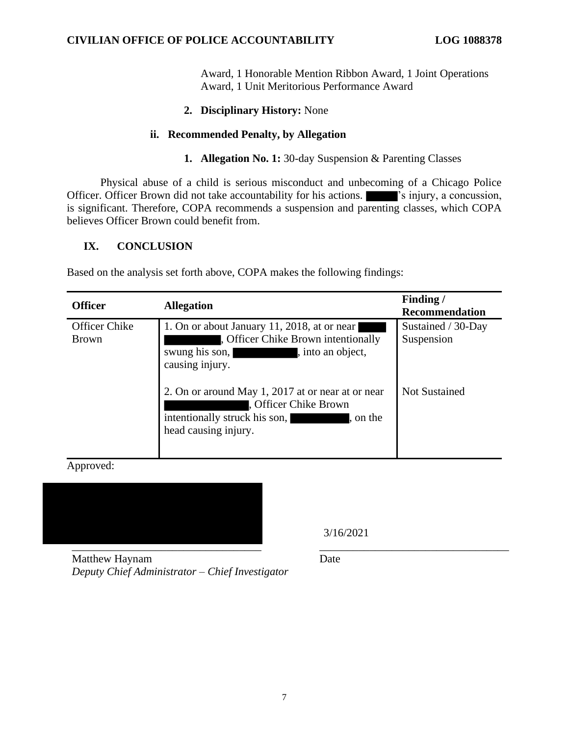Award, 1 Honorable Mention Ribbon Award, 1 Joint Operations Award, 1 Unit Meritorious Performance Award

# **2. Disciplinary History:** None

### **ii. Recommended Penalty, by Allegation**

### **1. Allegation No. 1:** 30-day Suspension & Parenting Classes

Physical abuse of a child is serious misconduct and unbecoming of a Chicago Police Officer. Officer Brown did not take accountability for his actions.  $\blacksquare$  's injury, a concussion, is significant. Therefore, COPA recommends a suspension and parenting classes, which COPA believes Officer Brown could benefit from.

### **IX. CONCLUSION**

Based on the analysis set forth above, COPA makes the following findings:

| <b>Officer</b>                | <b>Allegation</b>                                                                                                                               | Finding/<br>Recommendation       |
|-------------------------------|-------------------------------------------------------------------------------------------------------------------------------------------------|----------------------------------|
| Officer Chike<br><b>Brown</b> | 1. On or about January 11, 2018, at or near<br>, Officer Chike Brown intentionally<br>swung his son,<br>, into an object,<br>causing injury.    | Sustained / 30-Day<br>Suspension |
|                               | 2. On or around May 1, 2017 at or near at or near<br>, Officer Chike Brown<br>intentionally struck his son,<br>, on the<br>head causing injury. | <b>Not Sustained</b>             |

Approved:



3/16/2021

Matthew Haynam *Deputy Chief Administrator – Chief Investigator*

Date